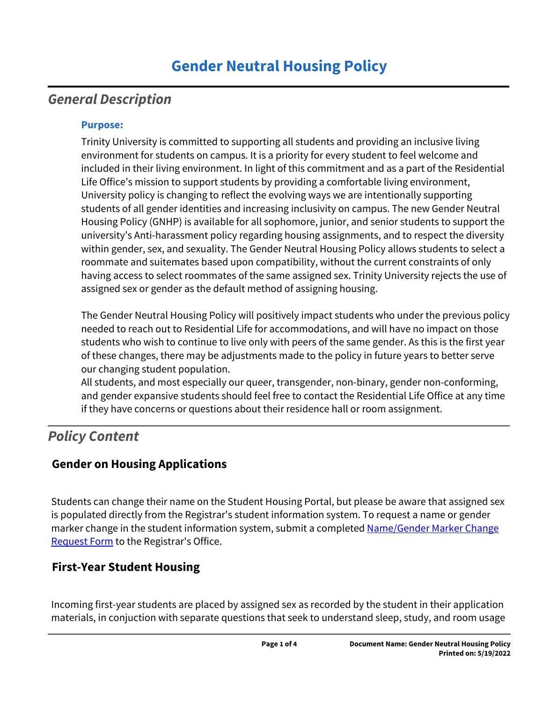# *General Description*

### **Purpose:**

Trinity University is committed to supporting all students and providing an inclusive living environment for students on campus. It is a priority for every student to feel welcome and included in their living environment. In light of this commitment and as a part of the Residential Life Office's mission to support students by providing a comfortable living environment, University policy is changing to reflect the evolving ways we are intentionally supporting students of all gender identities and increasing inclusivity on campus. The new Gender Neutral Housing Policy (GNHP) is available for all sophomore, junior, and senior students to support the university's Anti-harassment policy regarding housing assignments, and to respect the diversity within gender, sex, and sexuality. The Gender Neutral Housing Policy allows students to select a roommate and suitemates based upon compatibility, without the current constraints of only having access to select roommates of the same assigned sex. Trinity University rejects the use of assigned sex or gender as the default method of assigning housing.

The Gender Neutral Housing Policy will positively impact students who under the previous policy needed to reach out to Residential Life for accommodations, and will have no impact on those students who wish to continue to live only with peers of the same gender. As this is the first year of these changes, there may be adjustments made to the policy in future years to better serve our changing student population.

All students, and most especially our queer, transgender, non-binary, gender non-conforming, and gender expansive students should feel free to contact the Residential Life Office at any time if they have concerns or questions about their residence hall or room assignment.

## *Policy Content*

## **Gender on Housing Applications**

Students can change their name on the Student Housing Portal, but please be aware that assigned sex is populated directly from the Registrar's student information system. To request a name or gender marker change in the student information system, submit a completed Name/Gender Marker Change [Request Form](https://www.trinity.edu/directory/departments-offices/registrar/forms) to the Registrar's Office.

## **First-Year Student Housing**

Incoming first-year students are placed by assigned sex as recorded by the student in their application materials, in conjuction with separate questions that seek to understand sleep, study, and room usage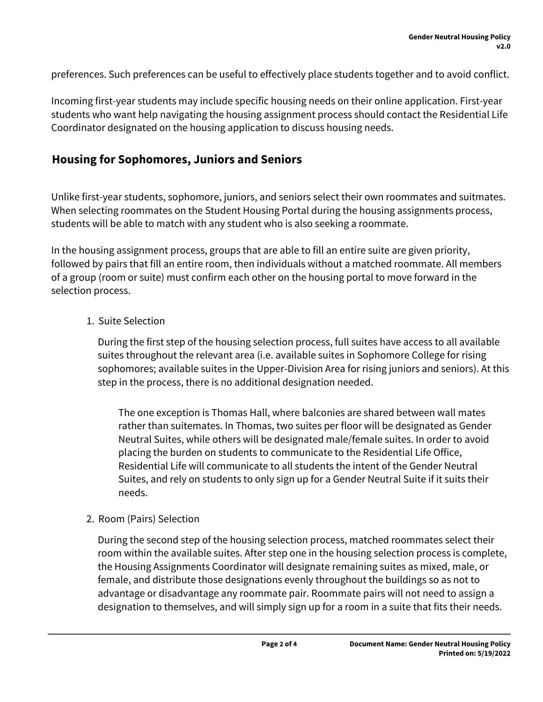preferences. Such preferences can be useful to effectively place students together and to avoid conflict.

Incoming first-year students may include specific housing needs on their online application. First-year students who want help navigating the housing assignment process should contact the Residential Life Coordinator designated on the housing application to discuss housing needs.

### **Housing for Sophomores, Juniors and Seniors**

Unlike first-year students, sophomore, juniors, and seniors select their own roommates and suitmates. When selecting roommates on the Student Housing Portal during the housing assignments process, students will be able to match with any student who is also seeking a roommate.

In the housing assignment process, groups that are able to fill an entire suite are given priority, followed by pairs that fill an entire room, then individuals without a matched roommate. All members of a group (room or suite) must confirm each other on the housing portal to move forward in the selection process.

#### 1. Suite Selection

During the first step of the housing selection process, full suites have access to all available suites throughout the relevant area (i.e. available suites in Sophomore College for rising sophomores; available suites in the Upper-Division Area for rising juniors and seniors). At this step in the process, there is no additional designation needed.

The one exception is Thomas Hall, where balconies are shared between wall mates rather than suitemates. In Thomas, two suites per floor will be designated as Gender Neutral Suites, while others will be designated male/female suites. In order to avoid placing the burden on students to communicate to the Residential Life Office, Residential Life will communicate to all students the intent of the Gender Neutral Suites, and rely on students to only sign up for a Gender Neutral Suite if it suits their needs.

#### 2. Room (Pairs) Selection

During the second step of the housing selection process, matched roommates select their room within the available suites. After step one in the housing selection process is complete, the Housing Assignments Coordinator will designate remaining suites as mixed, male, or female, and distribute those designations evenly throughout the buildings so as not to advantage or disadvantage any roommate pair. Roommate pairs will not need to assign a designation to themselves, and will simply sign up for a room in a suite that fits their needs.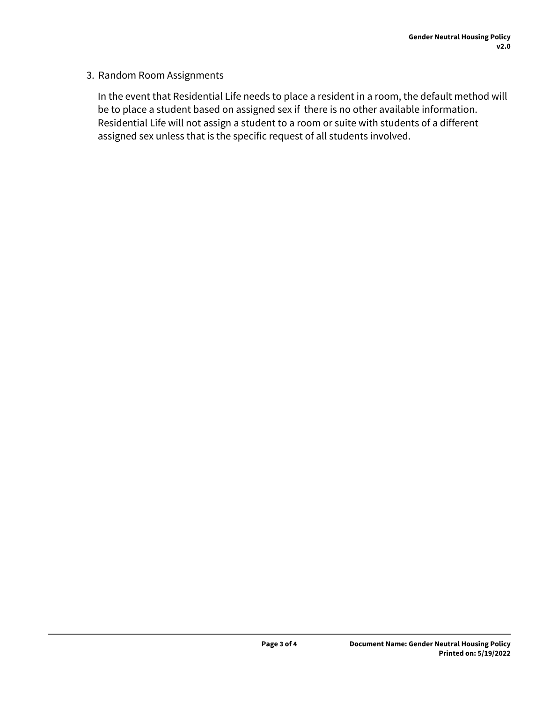#### 3. Random Room Assignments

In the event that Residential Life needs to place a resident in a room, the default method will be to place a student based on assigned sex if there is no other available information. Residential Life will not assign a student to a room or suite with students of a different assigned sex unless that is the specific request of all students involved.